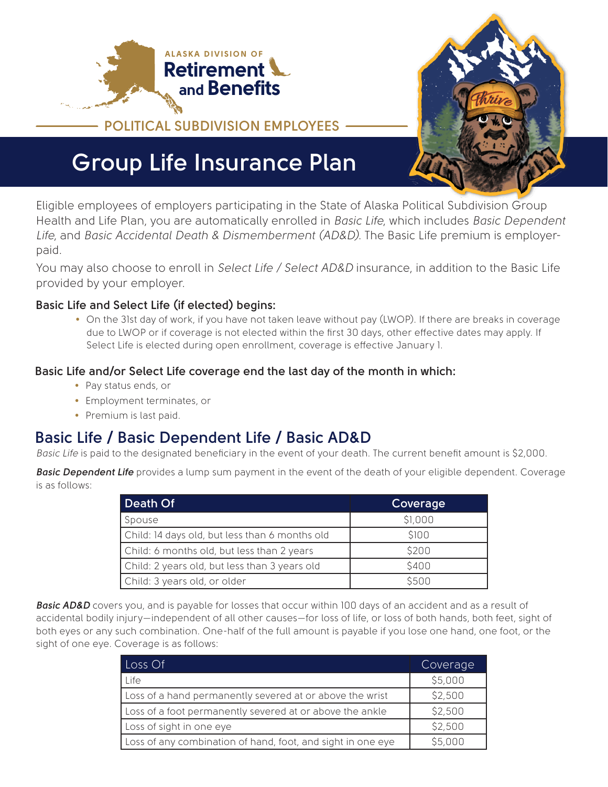



# **Group Life Insurance Plan**

Eligible employees of employers participating in the State of Alaska Political Subdivision Group Health and Life Plan, you are automatically enrolled in *Basic Life*, which includes *Basic Dependent Life*, and *Basic Accidental Death & Dismemberment (AD&D)*. The Basic Life premium is employerpaid.

You may also choose to enroll in *Select Life / Select AD&D* insurance, in addition to the Basic Life provided by your employer.

#### **Basic Life and Select Life (if elected) begins:**

• On the 31st day of work, if you have not taken leave without pay (LWOP). If there are breaks in coverage due to LWOP or if coverage is not elected within the first 30 days, other effective dates may apply. If Select Life is elected during open enrollment, coverage is effective January 1.

#### **Basic Life and/or Select Life coverage end the last day of the month in which:**

- Pay status ends, or
- Employment terminates, or
- Premium is last paid.

## **Basic Life / Basic Dependent Life / Basic AD&D**

*Basic Life* is paid to the designated beneficiary in the event of your death. The current benefit amount is \$2,000.

*Basic Dependent Life* provides a lump sum payment in the event of the death of your eligible dependent. Coverage is as follows:

| Death Of                                       | Coverage |
|------------------------------------------------|----------|
| Spouse                                         | \$1,000  |
| Child: 14 days old, but less than 6 months old | \$100    |
| Child: 6 months old, but less than 2 years     | \$200    |
| Child: 2 years old, but less than 3 years old  | \$400    |
| Child: 3 years old, or older                   | \$500    |

*Basic AD&D* covers you, and is payable for losses that occur within 100 days of an accident and as a result of accidental bodily injury—independent of all other causes—for loss of life, or loss of both hands, both feet, sight of both eyes or any such combination. One-half of the full amount is payable if you lose one hand, one foot, or the sight of one eye. Coverage is as follows:

| Loss Of                                                     | Coverage |
|-------------------------------------------------------------|----------|
| Life                                                        | \$5,000  |
| Loss of a hand permanently severed at or above the wrist    | \$2,500  |
| Loss of a foot permanently severed at or above the ankle    | \$2,500  |
| Loss of sight in one eye                                    | \$2,500  |
| Loss of any combination of hand, foot, and sight in one eye | \$5,000  |